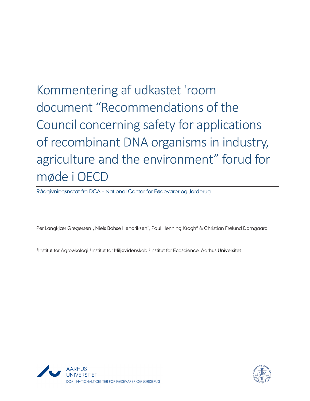Kommentering af udkastet 'room document "Recommendations of the Council concerning safety for applications of recombinant DNA organisms in industry, agriculture and the environment" forud for møde i OECD

Rådgivningsnotat fra DCA – National Center for Fødevarer og Jordbrug

Per Langkjær Gregersen<sup>1</sup>, Niels Bohse Hendriksen<sup>2</sup>, Paul Henning Krogh<sup>3</sup> & Christian Frølund Damgaard<sup>3</sup>

<sup>1</sup>Institut for Agroøkologi <sup>2</sup>Institut for Miljøvidenskab <sup>3</sup>Institut for Ecoscience, Aarhus Universitet



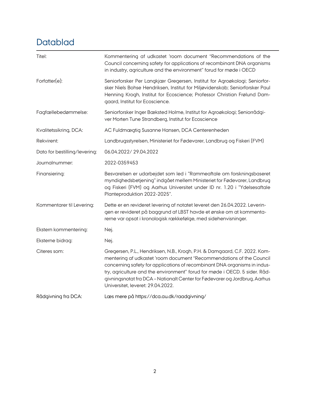# Datablad

| Titel:                        | Kommentering af udkastet 'room document "Recommendations of the<br>Council concerning safety for applications of recombinant DNA organisms<br>in industry, agriculture and the environment" forud for møde i OECD                                                                                                                                                                                                                |
|-------------------------------|----------------------------------------------------------------------------------------------------------------------------------------------------------------------------------------------------------------------------------------------------------------------------------------------------------------------------------------------------------------------------------------------------------------------------------|
| Forfatter(e):                 | Seniorforsker Per Langkjær Gregersen, Institut for Agroøkologi; Seniorfor-<br>sker Niels Bohse Hendriksen, Institut for Miljøvidenskab; Seniorforsker Paul<br>Henning Krogh, Institut for Ecoscience; Professor Christian Frølund Dam-<br>gaard, Institut for Ecoscience.                                                                                                                                                        |
| Fagfællebedømmelse:           | Seniorforsker Inger Bæksted Holme, Institut for Agroøkologi; Seniorrådgi-<br>ver Morten Tune Strandberg, Institut for Ecoscience                                                                                                                                                                                                                                                                                                 |
| Kvalitetssikring, DCA:        | AC Fuldmægtig Susanne Hansen, DCA Centerenheden                                                                                                                                                                                                                                                                                                                                                                                  |
| Rekvirent:                    | Landbrugsstyrelsen, Ministeriet for Fødevarer, Landbrug og Fiskeri (FVM)                                                                                                                                                                                                                                                                                                                                                         |
| Dato for bestilling/levering: | 06.04.2022/29.04.2022                                                                                                                                                                                                                                                                                                                                                                                                            |
| Journalnummer:                | 2022-0359453                                                                                                                                                                                                                                                                                                                                                                                                                     |
| Finansiering:                 | Besvarelsen er udarbejdet som led i "Rammeaftale om forskningsbaseret<br>myndighedsbetjening" indgået mellem Ministeriet for Fødevarer, Landbrug<br>og Fiskeri (FVM) og Aarhus Universitet under ID nr. 1.20 i "Ydelsesaftale<br>Planteproduktion 2022-2025".                                                                                                                                                                    |
| Kommentarer til Levering:     | Dette er en revideret levering af notatet leveret den 26.04.2022. Leverin-<br>gen er revideret på baggrund af LBST havde et ønske om at kommenta-<br>rerne var opsat i kronologisk rækkefølge, med sidehenvisninger.                                                                                                                                                                                                             |
| Ekstern kommentering:         | Nej.                                                                                                                                                                                                                                                                                                                                                                                                                             |
| Eksterne bidrag:              | Nej.                                                                                                                                                                                                                                                                                                                                                                                                                             |
| Citeres som:                  | Gregersen, P.L., Hendriksen, N.B., Krogh, P.H. & Damgaard, C.F. 2022. Kom-<br>mentering af udkastet 'room document "Recommendations of the Council<br>concerning safety for applications of recombinant DNA organisms in indus-<br>try, agriculture and the environment" forud for møde i OECD. 5 sider. Råd-<br>givningsnotat fra DCA - Nationalt Center for Fødevarer og Jordbrug, Aarhus<br>Universitet, leveret: 29.04.2022. |
| Rådgivning fra DCA:           | Læs mere på https://dca.au.dk/raadgivning/                                                                                                                                                                                                                                                                                                                                                                                       |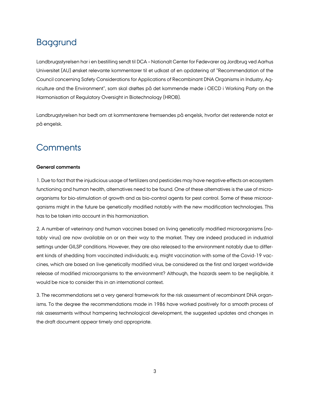# Baggrund

Landbrugsstyrelsen har i en bestilling sendt til DCA – Nationalt Center for Fødevarer og Jordbrug ved Aarhus Universitet (AU) ønsket relevante kommentarer til et udkast af en opdatering af "Recommendation of the Council concerning Safety Considerations for Applications of Recombinant DNA Organisms in Industry, Agriculture and the Environment", som skal drøftes på det kommende møde i OECD i Working Party on the Harmonisation of Regulatory Oversight in Biotechnology (HROB).

Landbrugstyrelsen har bedt om at kommentarene fremsendes på engelsk, hvorfor det resterende notat er på engelsk.

## **Comments**

### **General comments**

1. Due to fact that the injudicious usage of fertilizers and pesticides may have negative effects on ecosystem functioning and human health, alternatives need to be found. One of these alternatives is the use of microorganisms for bio-stimulation of growth and as bio-control agents for pest control. Some of these microorganisms might in the future be genetically modified notably with the new modification technologies. This has to be taken into account in this harmonization.

2. A number of veterinary and human vaccines based on living genetically modified microorganisms (notably virus) are now available on or on their way to the market. They are indeed produced in industrial settings under GILSP conditions. However, they are also released to the environment notably due to different kinds of shedding from vaccinated individuals; e.g. might vaccination with some of the Covid-19 vaccines, which are based on live genetically modified virus, be considered as the first and largest worldwide release of modified microorganisms to the environment? Although, the hazards seem to be negligible, it would be nice to consider this in an international context.

3. The recommendations set a very general framework for the risk assessment of recombinant DNA organisms. To the degree the recommendations made in 1986 have worked positively for a smooth process of risk assessments without hampering technological development, the suggested updates and changes in the draft document appear timely and appropriate.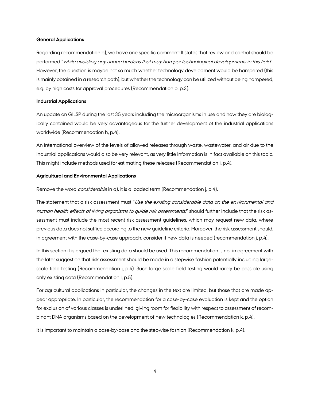#### **General Applications**

Regarding recommendation b), we have one specific comment: It states that review and control should be performed "while avoiding any undue burdens that may hamper technological developments in this field". However, the question is maybe not so much whether technology development would be hampered (this is mainly obtained in a research path), but whether the technology can be utilized without being hampered, e.g. by high costs for approval procedures (Recommendation b, p.3).

#### **Industrial Applications**

An update on GILSP during the last 35 years including the microorganisms in use and how they are biologically contained would be very advantageous for the further development of the industrial applications worldwide (Recommendation h, p.4).

An international overview of the levels of allowed releases through waste, wastewater, and air due to the industrial applications would also be very relevant, as very little information is in fact available on this topic. This might include methods used for estimating these releases (Recommendation i, p.4).

#### **Agricultural and Environmental Applications**

Remove the word *considerable* in a). it is a loaded term (Recommendation j, p.4).

The statement that a risk assessment must "Use the existing considerable data on the environmental and human health effects of living organisms to guide risk assessments," should further include that the risk assessment must include the most recent risk assessment guidelines, which may request new data, where previous data does not suffice according to the new guideline criteria. Moreover, the risk assessment should, in agreement with the case-by-case approach, consider if new data is needed (recommendation j, p.4).

In this section it is argued that existing data should be used. This recommendation is not in agreement with the later suggestion that risk assessment should be made in a stepwise fashion potentially including largescale field testing (Recommendation j, p.4). Such large-scale field testing would rarely be possible using only existing data (Recommendation l, p.5).

For agricultural applications in particular, the changes in the text are limited, but those that are made appear appropriate. In particular, the recommendation for a case-by-case evaluation is kept and the option for exclusion of various classes is underlined, giving room for flexibility with respect to assessment of recombinant DNA organisms based on the development of new technologies (Recommendation k, p.4).

It is important to maintain a case-by-case and the stepwise fashion (Recommendation k, p.4).